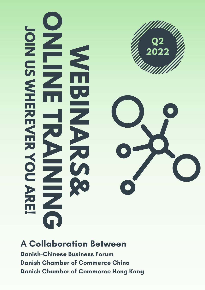

**A Collaboration Between** 

**Danish-Chinese Business Forum Danish Chamber of Commerce China Danish Chamber of Commerce Hong Kong**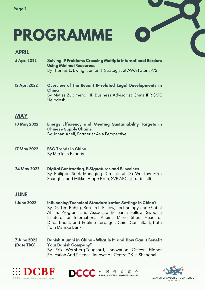# **PROGRAMME**

### **APRIL**

- 5 Apr. 2022 **Solving IP Problems Crossing Multiple International Borders Using Minimal Resources** By Thomas L. Ewing, Senior IP Strategist at AWA Patent A/S
- 12 Apr. 2022 Overview of the Recent IP-related Legal Developments in China By Matias Zubimendi, IP Business Advisor at China IPR SME Helpdesk

# **MAY**

- 10 May 2022 Energy Efficiency and Meeting Sustainability Targets in **Chinese Supply Chains** By Johan Anell, Partner at Asia Perspective
- **17 May 2022 ESG Trends in Ching** By MioTech Experts
- **24 May 2022 Digital Contracting, E-Signatures and E-Invoices** By Philippe Snel, Managing Director at Da Wo Law Firm Shanghai and Mikkel Hippe Brun, SVP APC at Tradeshift

# **JUNE**

**1 June 2022 Influencing Technical Standardization Settings in China?** By Dr. Tim Rühlig, Research Fellow, Technology and Global Affairs Program and Associate Research Fellow, Swedish Institute for International Affairs; Marie Shou, Head of Department, and Pouline Terpager, Chief Consultant, both from Danske Bank

**7 June 2022** Danish Alumni in China - What Is It, and How Can It Benefit (Date TBC) **Your Danish Company?** By Erik Wernberg-Tougaard, Innovation Officer, Higher Education And Science, Innovation Centre DK in Shanghai









 $\epsilon$ 

 $\bullet$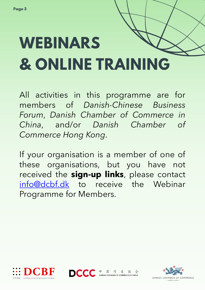# **WEBINARS & ONLINE TRAINING**

All activities in this programme are for members of *Danish-Chinese Business Forum*, *Danish Chamber of Commerce in China*, and/or *Danish Chamber of Commerce Hong Kong*.

If your organisation is a member of one of these organisations, but you have not received the **sign-up links**, please contact [info@dcbf.dk](mailto:info@dcbf.dk) to receive the Webinar Programme for Members.







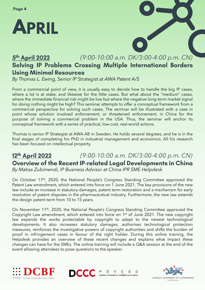

#### *(9:00-10:00 a.m. DK/3:00-4:00 p.m. CN)* 5th April 2022 Solving IP Problems Crossing Multiple International Borders **Using Minimal Resources**

*By Thomas L. Ewing, Senior IP Strategist at AWA Patent A/S*

From a commercial point of view, it is usually easy to decide how to handle the big IP cases, where a lot is at stake, and likewise for the little cases. But what about the "medium" cases, where the immediate financial risk might be low but where the negative long-term market signal for doing nothing might be high? This seminar attempts to offer a conceptual framework from a commercial perspective for solving such cases. The seminar will be illustrated with a case in point whose solution involved enforcement, or threatened enforcement, in China for the purpose of solving a commercial problem in the USA. Thus, the seminar will anchor its conceptual framework with a series of practical, low-cost, real-world actions.

Thomas is senior IP Strategist at AWA AB in Sweden. He holds several degrees, and he is in the final stages of completing his PhD in industrial management and economics. All his research has been focused on intellectual property.

#### *(9:00-10:00 a.m. DK/3:00-4:00 p.m. CN)* 12th April 2022 Overview of the Recent IP-related Legal Developments in China *By Matias Zubimendi, IP Business Advisor at China IPR SME Helpdesk*

On October 17<sup>th</sup>, 2020, the National People's Congress Standing Committee approved the Patent Law amendment, which entered into force on 1 June 2021. The key provisions of the new law include an increase in statutory damages, patent term restoration and a mechanism for early resolution of patent disputes in the pharmaceutical industry. Furthermore, the new law extends the design patent term from 10 to 15 years.

On November 11<sup>th</sup>, 2020, the National People's Congress Standing Committee approved the Copyright Law amendment, which entered into force on 1<sup>st</sup> of June 2021. The new copyright law expands the works protectable by copyright to adapt to the newest technological developments. It also increases statutory damages, authorises technological protection measures, reinforces the investigative powers of copyright authorities and shifts the burden of proof in infringement cases in favour of the right holder. During this online training, the Helpdesk provides an overview of these recent changes and explains what impact these changes can have for the SMEs. The online training will include a Q&A session at the end of the event allowing attendees to pose questions to the speaker.





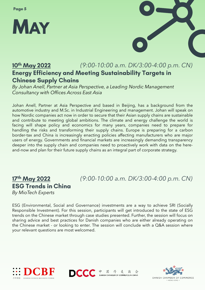



#### *(9:00-10:00 a.m. DK/3:00-4:00 p.m. CN)* 10<sup>th</sup> May 2022 **Energy Efficiency and Meeting Sustainability Targets in Chinese Supply Chains**

*By Johan Anell, Partner at Asia Perspective, a Leading Nordic Management Consultancy with Offices Across East Asia*

Johan Anell, Partner at Asia Perspective and based in Beijing, has a background from the automotive industry and M.Sc. in Industrial Engineering and management. Johan will speak on how Nordic companies act now in order to secure that their Asian supply chains are sustainable and contribute to meeting global ambitions. The climate and energy challenge the world is facing will shape policy and economics for many years, companies need to prepare for handling the risks and transforming their supply chains. Europe is preparing for a carbon border-tax and China is increasingly enacting policies affecting manufacturers who are major users of energy. Governments and financial markets are increasingly demanding transparency deeper into the supply chain and companies need to proactively work with data on the hereand-now and plan for their future supply chains as an integral part of corporate strategy.

### 17th May 2022 **ESG Trends in Ching** *By MioTech Experts*

*(9:00-10:00 a.m. DK/3:00-4:00 p.m. CN)*

ESG (Environmental, Social and Governance) investments are a way to achieve SRI (Socially Responsible Investment). For this session, participants will get introduced to the state of ESG trends on the Chinese market through case studies presented. Further, the session will focus on sharing advice and best practices for Danish companies who are either already operating on the Chinese market - or looking to enter. The session will conclude with a Q&A session where your relevant questions are most welcomed.

中







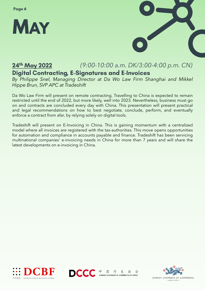



#### 24<sup>th</sup> May 2022 *(9:00-10:00 a.m. DK/3:00-4:00 p.m. CN)* **Digital Contracting, E-Signatures and E-Invoices**

*By Philippe Snel, Managing Director at Da Wo Law Firm Shanghai and Mikkel Hippe Brun, SVP APC at Tradeshift*

Da Wo Law Firm will present on remote contracting. Travelling to China is expected to remain restricted until the end of 2022, but more likely, well into 2023. Nevertheless, business must go on and contracts are concluded every day with China. This presentation will present practical and legal recommendations on how to best negotiate, conclude, perform, and eventually enforce a contract from afar, by relying solely on digital tools.

Tradeshift will present on E-Invoicing in China. This is gaining momentum with a centralized model where all invoices are registered with the tax-authorities. This move opens opportunities for automation and compliance in accounts payable and finance. Tradeshift has been servicing multinational companies' e-invoicing needs in China for more than 7 years and will share the latest developments on e-invoicing in China.





中